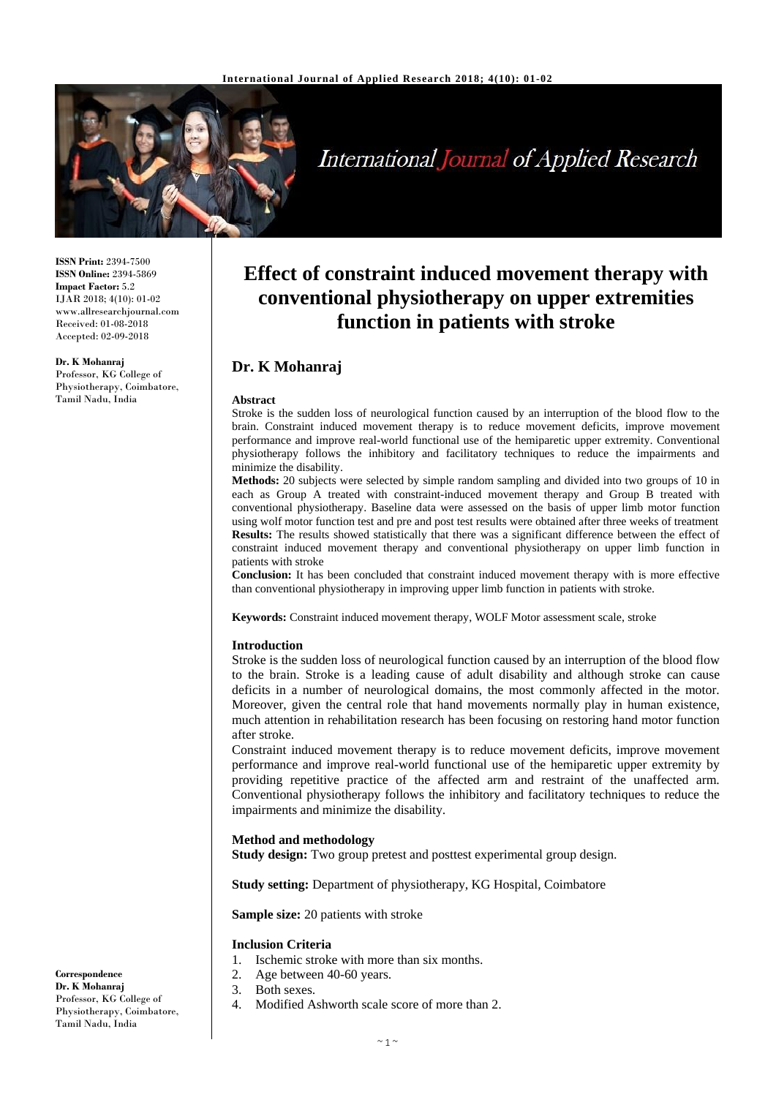

# **International Journal of Applied Research**

**ISSN Print:** 2394-7500 **ISSN Online:** 2394-5869 **Impact Factor:** 5.2 IJAR 2018; 4(10): 01-02 www.allresearchjournal.com Received: 01-08-2018 Accepted: 02-09-2018

#### **Dr. K Mohanraj**

Professor, KG College of Physiotherapy, Coimbatore, Tamil Nadu, India

# **Effect of constraint induced movement therapy with conventional physiotherapy on upper extremities function in patients with stroke**

# **Dr. K Mohanraj**

#### **Abstract**

Stroke is the sudden loss of neurological function caused by an interruption of the blood flow to the brain. Constraint induced movement therapy is to reduce movement deficits, improve movement performance and improve real-world functional use of the hemiparetic upper extremity. Conventional physiotherapy follows the inhibitory and facilitatory techniques to reduce the impairments and minimize the disability.

**Methods:** 20 subjects were selected by simple random sampling and divided into two groups of 10 in each as Group A treated with constraint-induced movement therapy and Group B treated with conventional physiotherapy. Baseline data were assessed on the basis of upper limb motor function using wolf motor function test and pre and post test results were obtained after three weeks of treatment **Results:** The results showed statistically that there was a significant difference between the effect of constraint induced movement therapy and conventional physiotherapy on upper limb function in patients with stroke

**Conclusion:** It has been concluded that constraint induced movement therapy with is more effective than conventional physiotherapy in improving upper limb function in patients with stroke.

**Keywords:** Constraint induced movement therapy, WOLF Motor assessment scale, stroke

#### **Introduction**

Stroke is the sudden loss of neurological function caused by an interruption of the blood flow to the brain. Stroke is a leading cause of adult disability and although stroke can cause deficits in a number of neurological domains, the most commonly affected in the motor. Moreover, given the central role that hand movements normally play in human existence, much attention in rehabilitation research has been focusing on restoring hand motor function after stroke.

Constraint induced movement therapy is to reduce movement deficits, improve movement performance and improve real-world functional use of the hemiparetic upper extremity by providing repetitive practice of the affected arm and restraint of the unaffected arm. Conventional physiotherapy follows the inhibitory and facilitatory techniques to reduce the impairments and minimize the disability.

#### **Method and methodology**

**Study design:** Two group pretest and posttest experimental group design.

**Study setting:** Department of physiotherapy, KG Hospital, Coimbatore

**Sample size:** 20 patients with stroke

#### **Inclusion Criteria**

- 1. Ischemic stroke with more than six months.
- 2. Age between 40-60 years.
- 3. Both sexes.
- 4. Modified Ashworth scale score of more than 2.

**Dr. K Mohanraj** Professor, KG College of Physiotherapy, Coimbatore, Tamil Nadu, India

**Correspondence**